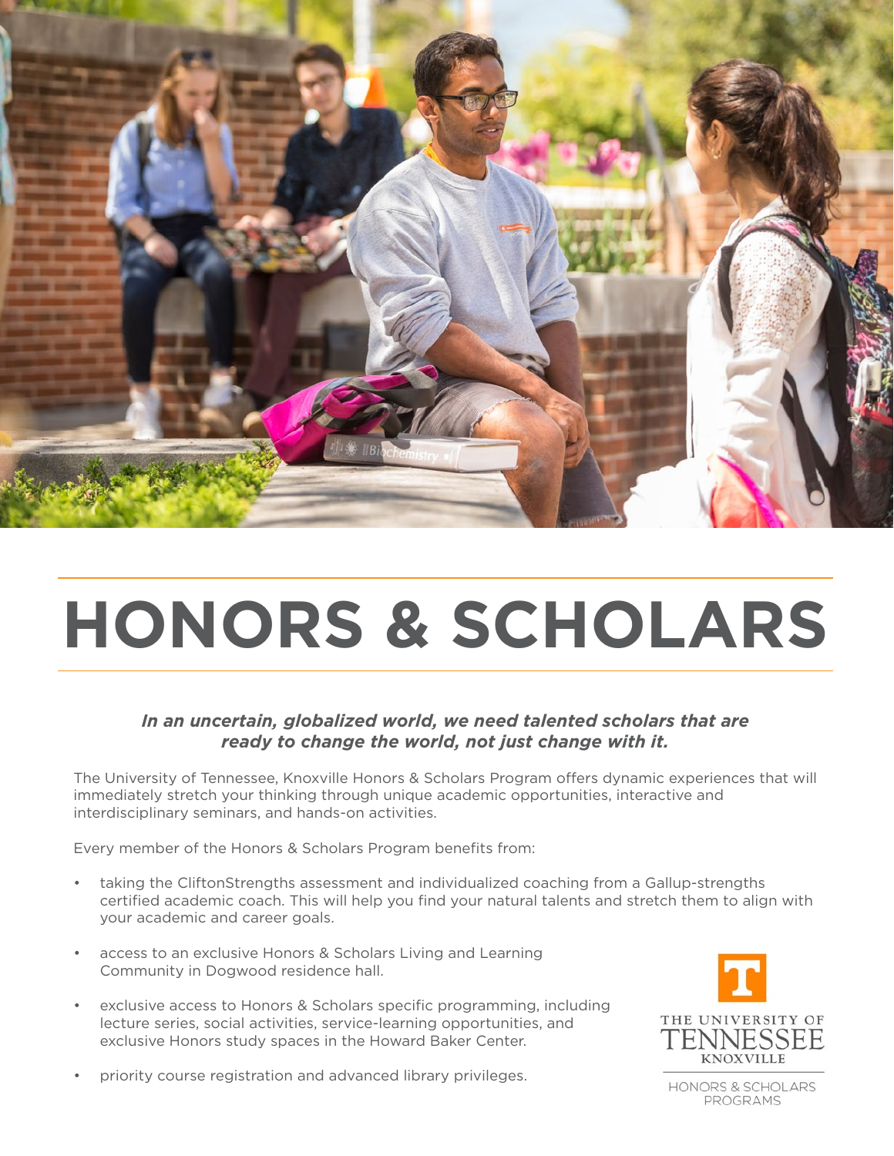

# **HONORS & SCHOLARS**

### *In an uncertain, globalized world, we need talented scholars that are ready to change the world, not just change with it.*

The University of Tennessee, Knoxville Honors & Scholars Program offers dynamic experiences that will immediately stretch your thinking through unique academic opportunities, interactive and interdisciplinary seminars, and hands-on activities.

Every member of the Honors & Scholars Program benefits from:

- taking the CliftonStrengths assessment and individualized coaching from a Gallup-strengths certified academic coach. This will help you find your natural talents and stretch them to align with your academic and career goals.
- access to an exclusive Honors & Scholars Living and Learning Community in Dogwood residence hall.
- exclusive access to Honors & Scholars specific programming, including lecture series, social activities, service-learning opportunities, and exclusive Honors study spaces in the Howard Baker Center.



• priority course registration and advanced library privileges.

HONORS & SCHOLARS PROGRAMS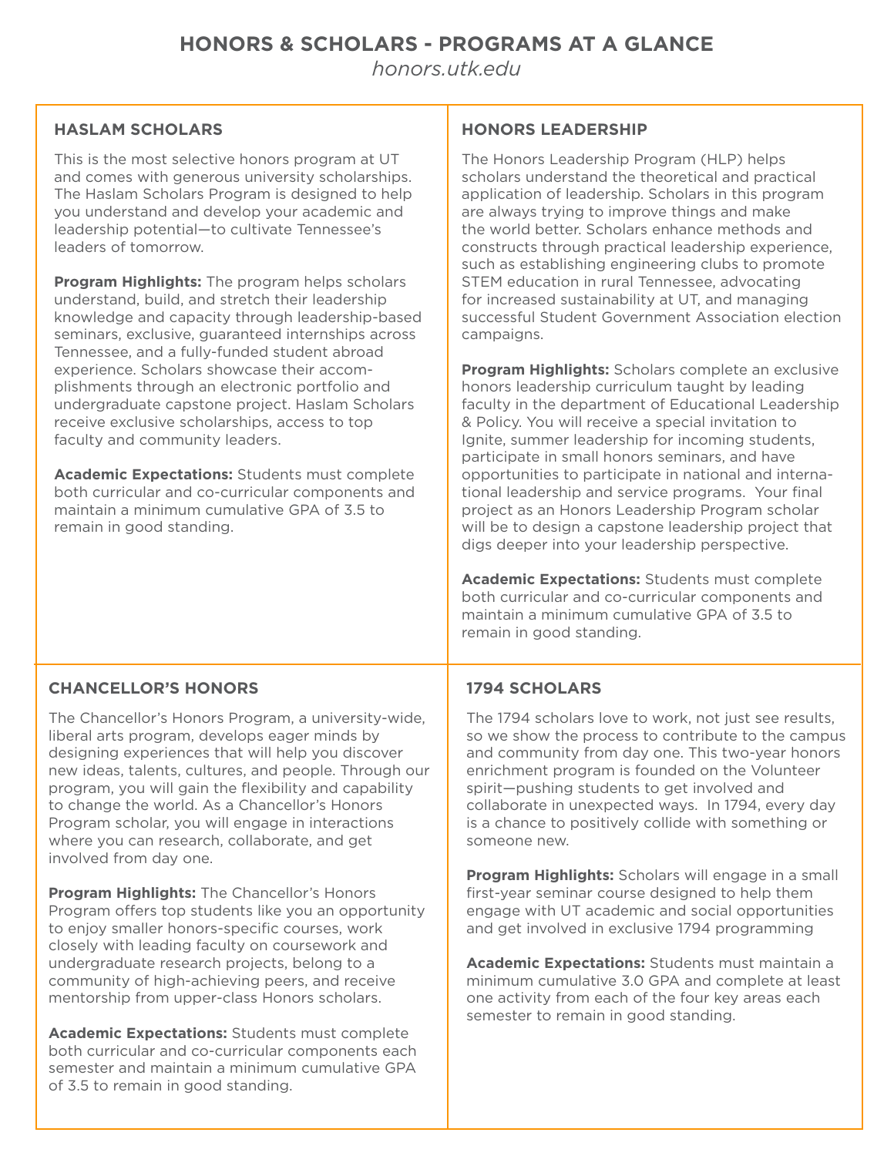# **HONORS & SCHOLARS - PROGRAMS AT A GLANCE**

*[honors.utk.edu](mailto:honors.utk.edu?subject=)*

#### **HASLAM SCHOLARS**

This is the most selective honors program at UT and comes with generous university scholarships. The Haslam Scholars Program is designed to help you understand and develop your academic and leadership potential—to cultivate Tennessee's leaders of tomorrow.

**Program Highlights:** The program helps scholars understand, build, and stretch their leadership knowledge and capacity through leadership-based seminars, exclusive, guaranteed internships across Tennessee, and a fully-funded student abroad experience. Scholars showcase their accomplishments through an electronic portfolio and undergraduate capstone project. Haslam Scholars receive exclusive scholarships, access to top faculty and community leaders.

**Academic Expectations:** Students must complete both curricular and co-curricular components and maintain a minimum cumulative GPA of 3.5 to remain in good standing.

#### **HONORS LEADERSHIP**

The Honors Leadership Program (HLP) helps scholars understand the theoretical and practical application of leadership. Scholars in this program are always trying to improve things and make the world better. Scholars enhance methods and constructs through practical leadership experience, such as establishing engineering clubs to promote STEM education in rural Tennessee, advocating for increased sustainability at UT, and managing successful Student Government Association election campaigns.

**Program Highlights:** Scholars complete an exclusive honors leadership curriculum taught by leading faculty in the department of Educational Leadership & Policy. You will receive a special invitation to Ignite, summer leadership for incoming students, participate in small honors seminars, and have opportunities to participate in national and international leadership and service programs. Your final project as an Honors Leadership Program scholar will be to design a capstone leadership project that digs deeper into your leadership perspective.

**Academic Expectations:** Students must complete both curricular and co-curricular components and maintain a minimum cumulative GPA of 3.5 to remain in good standing.

#### **CHANCELLOR'S HONORS**

The Chancellor's Honors Program, a university-wide, liberal arts program, develops eager minds by designing experiences that will help you discover new ideas, talents, cultures, and people. Through our program, you will gain the flexibility and capability to change the world. As a Chancellor's Honors Program scholar, you will engage in interactions where you can research, collaborate, and get involved from day one.

**Program Highlights:** The Chancellor's Honors Program offers top students like you an opportunity to enjoy smaller honors-specific courses, work closely with leading faculty on coursework and undergraduate research projects, belong to a community of high-achieving peers, and receive mentorship from upper-class Honors scholars.

**Academic Expectations:** Students must complete both curricular and co-curricular components each semester and maintain a minimum cumulative GPA of 3.5 to remain in good standing.

#### **1794 SCHOLARS**

The 1794 scholars love to work, not just see results, so we show the process to contribute to the campus and community from day one. This two-year honors enrichment program is founded on the Volunteer spirit—pushing students to get involved and collaborate in unexpected ways. In 1794, every day is a chance to positively collide with something or someone new.

**Program Highlights:** Scholars will engage in a small first-year seminar course designed to help them engage with UT academic and social opportunities and get involved in exclusive 1794 programming

**Academic Expectations:** Students must maintain a minimum cumulative 3.0 GPA and complete at least one activity from each of the four key areas each semester to remain in good standing.